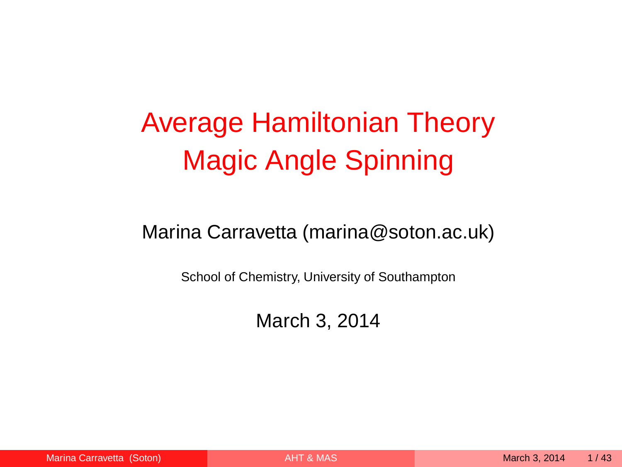# Average Hamiltonian Theory Magic Angle Spinning

#### Marina Carravetta (marina@soton.ac.uk)

School of Chemistry, University of Southampton

<span id="page-0-0"></span>March 3, 2014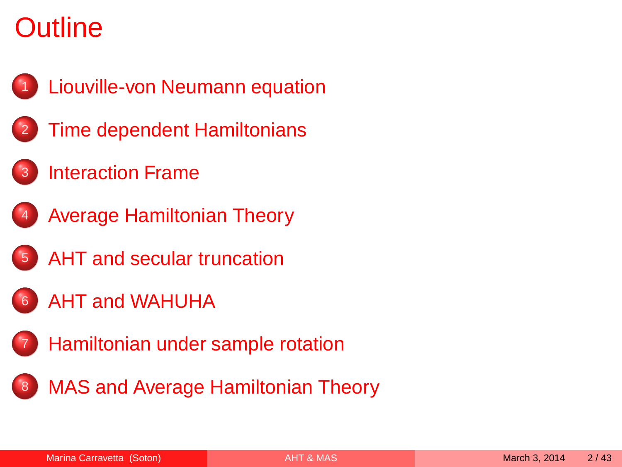# **Outline**



- **[Liouville-von Neumann equation](#page-2-0)**
- **[Time dependent Hamiltonians](#page-7-0)**
- **[Interaction Frame](#page-12-0)**



- <sup>4</sup> [Average Hamiltonian Theory](#page-16-0)
- [AHT and secular truncation](#page-23-0)
- <sup>6</sup> [AHT and WAHUHA](#page-26-0)
- **[Hamiltonian under sample rotation](#page-29-0)**
- **[MAS and Average Hamiltonian Theory](#page-33-0)**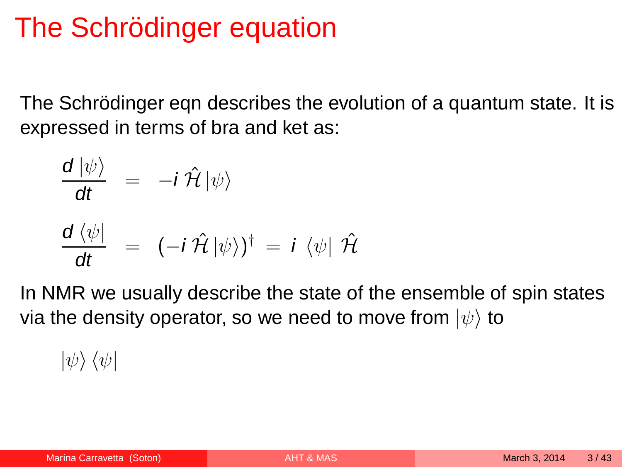# The Schrödinger equation

The Schrödinger eqn describes the evolution of a quantum state. It is expressed in terms of bra and ket as:

$$
\frac{d |\psi\rangle}{dt} = -i \hat{\mathcal{H}} |\psi\rangle
$$
  

$$
\frac{d \langle \psi |}{dt} = (-i \hat{\mathcal{H}} |\psi\rangle)^{\dagger} = i \langle \psi | \hat{\mathcal{H}}
$$

In NMR we usually describe the state of the ensemble of spin states via the density operator, so we need to move from  $|\psi\rangle$  to

<span id="page-2-0"></span> $|\psi\rangle \langle \psi|$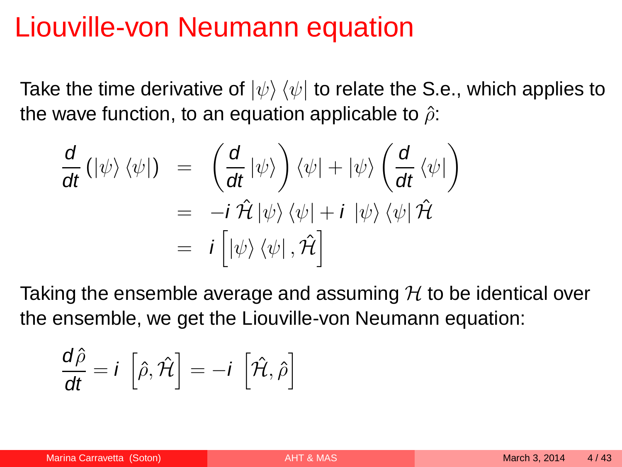#### Liouville-von Neumann equation

Take the time derivative of  $|\psi\rangle \langle \psi|$  to relate the S.e., which applies to the wave function, to an equation applicable to  $\hat{\rho}$ :

$$
\frac{d}{dt} (|\psi\rangle \langle \psi|) = \left(\frac{d}{dt} |\psi\rangle\right) \langle \psi| + |\psi\rangle \left(\frac{d}{dt} \langle \psi|\right) \n= -i \hat{\mathcal{H}} |\psi\rangle \langle \psi| + i |\psi\rangle \langle \psi| \hat{\mathcal{H}} \n= i \left[ |\psi\rangle \langle \psi|, \hat{\mathcal{H}} \right]
$$

Taking the ensemble average and assuming  $H$  to be identical over the ensemble, we get the Liouville-von Neumann equation:

$$
\frac{\mathrm{d}\hat{\rho}}{\mathrm{d}t} = i \left[ \hat{\rho}, \hat{\mathcal{H}} \right] = -i \left[ \hat{\mathcal{H}}, \hat{\rho} \right]
$$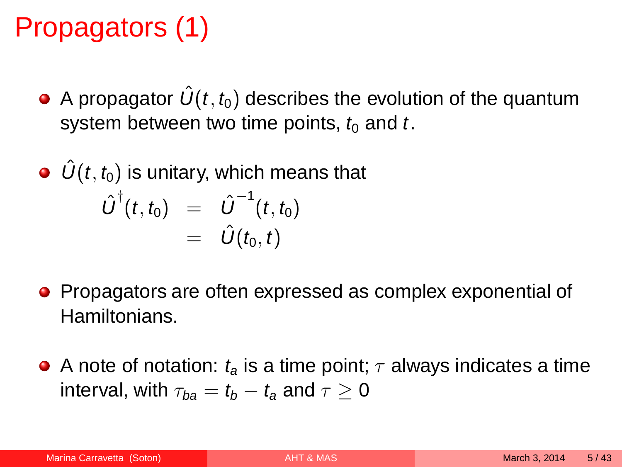# Propagators (1)

A propagator  $\hat{U}(t, t_0)$  describes the evolution of the quantum system between two time points,  $t_0$  and t.

\n- \n
$$
\hat{U}(t, t_0)
$$
 is unitary, which means that\n 
$$
\hat{U}^\dagger(t, t_0) = \hat{U}^{-1}(t, t_0)
$$
\n
$$
= \hat{U}(t_0, t)
$$
\n
\n

- Propagators are often expressed as complex exponential of Hamiltonians.
- A note of notation:  $t_a$  is a time point;  $\tau$  always indicates a time interval, with  $\tau_{ba} = t_b - t_a$  and  $\tau \geq 0$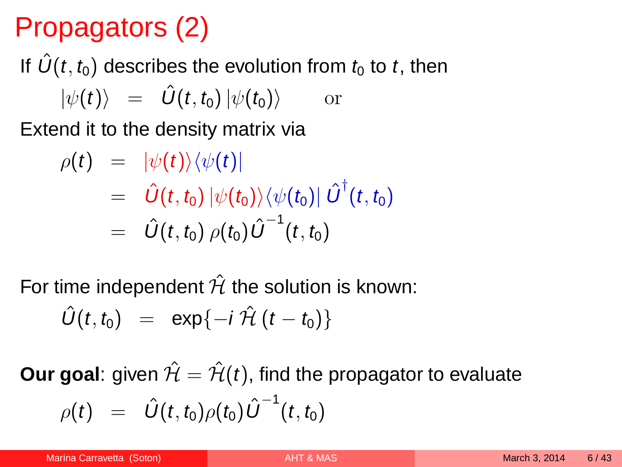# Propagators (2)

# If  $\hat{U}(t, t_0)$  describes the evolution from  $t_0$  to t, then  $|\psi(t)\rangle = \hat{U}(t, t_0)|\psi(t_0)\rangle$  or

Extend it to the density matrix via

$$
\rho(t) = |\psi(t)\rangle\langle\psi(t)|
$$
  
=  $\hat{U}(t, t_0) |\psi(t_0)\rangle\langle\psi(t_0)| \hat{U}^{\dagger}(t, t_0)$   
=  $\hat{U}(t, t_0) \rho(t_0) \hat{U}^{-1}(t, t_0)$ 

For time independent  $\hat{\mathcal{H}}$  the solution is known:

$$
\hat{U}(t,t_0) = \exp\{-i\,\hat{\mathcal{H}}(t-t_0)\}
$$

**Our goal:** given  $\hat{\mathcal{H}} = \hat{\mathcal{H}}(t)$ , find the propagator to evaluate  $\rho(t)$  =  $\hat{U}(t,t_0)\rho(t_0)\hat{U}^{-1}(t,t_0)$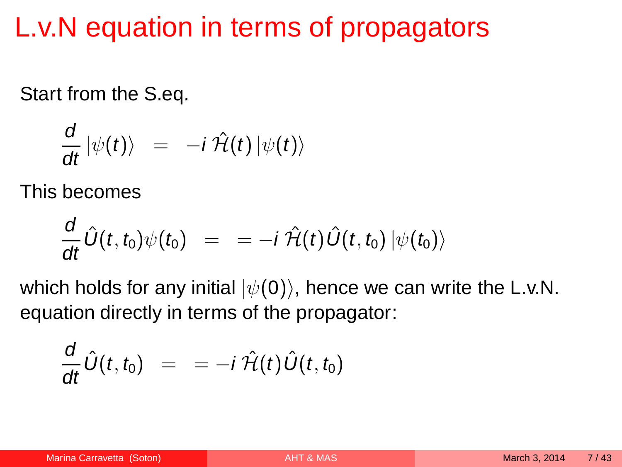# L.v.N equation in terms of propagators

Start from the S.eq.

$$
\frac{d}{dt} |\psi(t)\rangle = -i \hat{\mathcal{H}}(t) |\psi(t)\rangle
$$

This becomes

$$
\frac{d}{dt}\hat{U}(t,t_0)\psi(t_0) = = -i\,\hat{\mathcal{H}}(t)\hat{U}(t,t_0)\,|\psi(t_0)\rangle
$$

which holds for any initial  $|\psi(0)\rangle$ , hence we can write the L.v.N. equation directly in terms of the propagator:

$$
\frac{d}{dt}\hat{U}(t,t_0) = = -i\,\hat{\mathcal{H}}(t)\hat{U}(t,t_0)
$$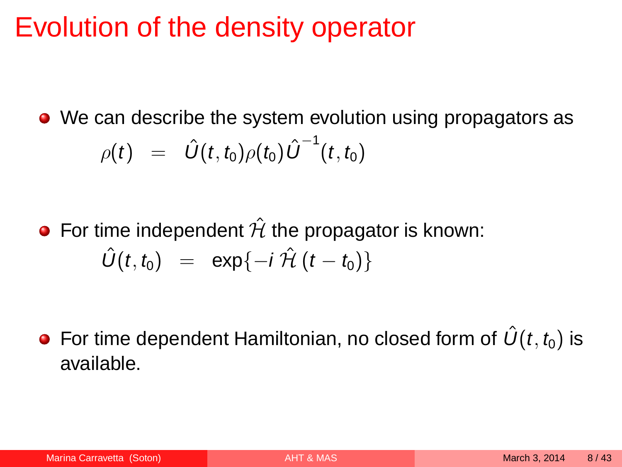#### Evolution of the density operator

• We can describe the system evolution using propagators as  $\rho(t) \;\; = \;\; \hat{U}(t,t_0) \rho(t_0) \, {\hat{U}}^{-1}(t,t_0)$ 

• For time independent  $\hat{\mathcal{H}}$  the propagator is known:  $\hat{U}(t, t_0) = \exp\{-i\hat{\mathcal{H}}(t - t_0)\}\$ 

<span id="page-7-0"></span>• For time dependent Hamiltonian, no closed form of  $\hat{U}(t, t_0)$  is available.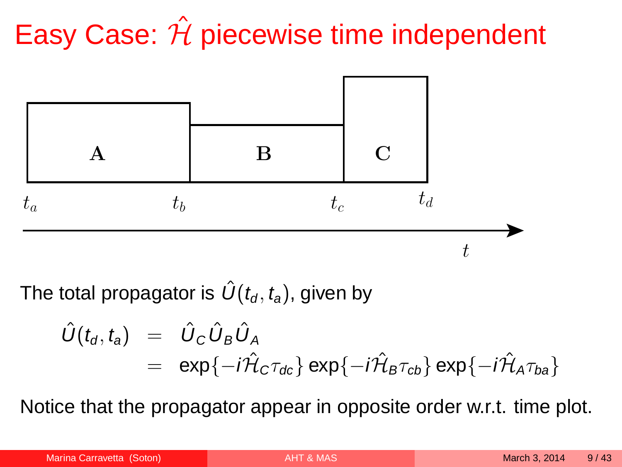# Easy Case:  $\hat{\mathcal{H}}$  piecewise time independent



The total propagator is  $\hat{U}(t_d, t_a)$ , given by

$$
\hat{U}(t_{d}, t_{a}) = \hat{U}_{C} \hat{U}_{B} \hat{U}_{A}
$$
  
= exp{-*i\hat{\mathcal{H}}\_{C}\tau\_{dc}}* exp{-*i\hat{\mathcal{H}}\_{B}\tau\_{cb}}* exp{-*i\hat{\mathcal{H}}\_{A}\tau\_{ba}}*

Notice that the propagator appear in opposite order w.r.t. time plot.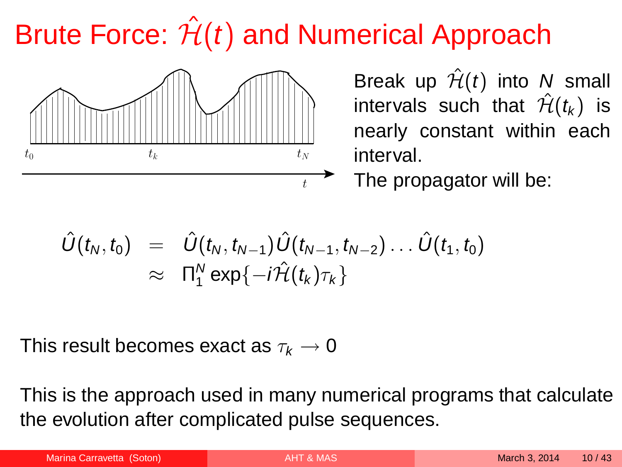# Brute Force:  $\hat{\mathcal{H}}(t)$  and Numerical Approach



Break up  $\hat{\mathcal{H}}(t)$  into N small intervals such that  $\hat{\mathcal{H}}(t_k)$  is nearly constant within each interval.

The propagator will be:

$$
\hat{U}(t_N,t_0) = \hat{U}(t_N,t_{N-1})\hat{U}(t_{N-1},t_{N-2})\dots\hat{U}(t_1,t_0) \n\approx \Pi_1^N \exp\{-i\hat{\mathcal{H}}(t_k)\tau_k\}
$$

This result becomes exact as  $\tau_k \to 0$ 

This is the approach used in many numerical programs that calculate the evolution after complicated pulse sequences.

| Marina Carravetta (Soton) |  |
|---------------------------|--|
|                           |  |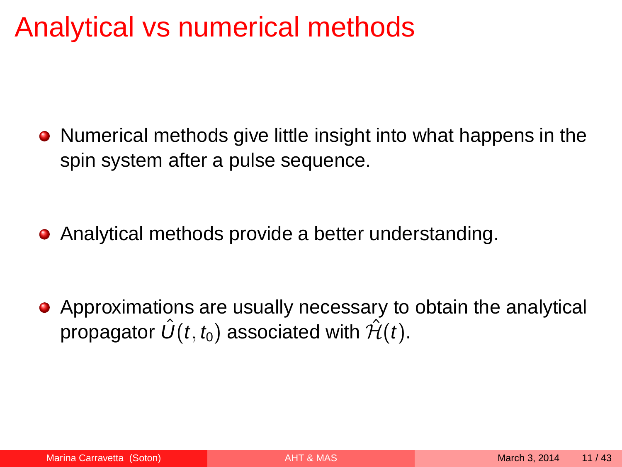#### Analytical vs numerical methods

• Numerical methods give little insight into what happens in the spin system after a pulse sequence.

• Analytical methods provide a better understanding.

Approximations are usually necessary to obtain the analytical propagator  $\hat{U}(t, t_0)$  associated with  $\hat{\mathcal{H}}(t)$ .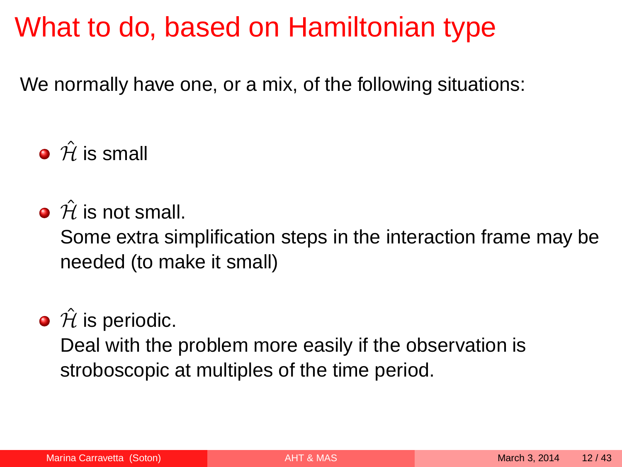## What to do, based on Hamiltonian type

We normally have one, or a mix, of the following situations:

 $\hat{H}$  is small

 $\hat{H}$  is not small.

Some extra simplification steps in the interaction frame may be needed (to make it small)

#### $\bullet$   $\hat{\mathcal{H}}$  is periodic.

Deal with the problem more easily if the observation is stroboscopic at multiples of the time period.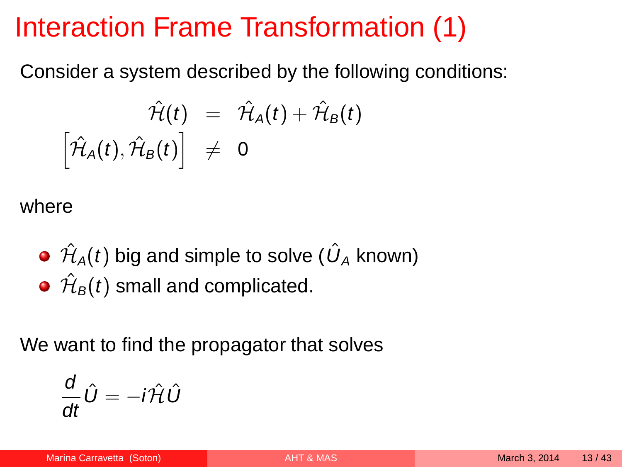# Interaction Frame Transformation (1)

Consider a system described by the following conditions:

$$
\hat{\mathcal{H}}(t) = \hat{\mathcal{H}}_A(t) + \hat{\mathcal{H}}_B(t) \n\left[\hat{\mathcal{H}}_A(t), \hat{\mathcal{H}}_B(t)\right] \neq 0
$$

where

 $\hat{\mathcal{H}}_{\mathcal{A}}(t)$  big and simple to solve (  $\hat{U}_{\mathcal{A}}$  known)  $\hat{\mathcal{H}}_{\boldsymbol{B}}(t)$  small and complicated.

We want to find the propagator that solves

<span id="page-12-0"></span>
$$
\frac{d}{dt}\hat{U}=-i\hat{\mathcal{H}}\hat{U}
$$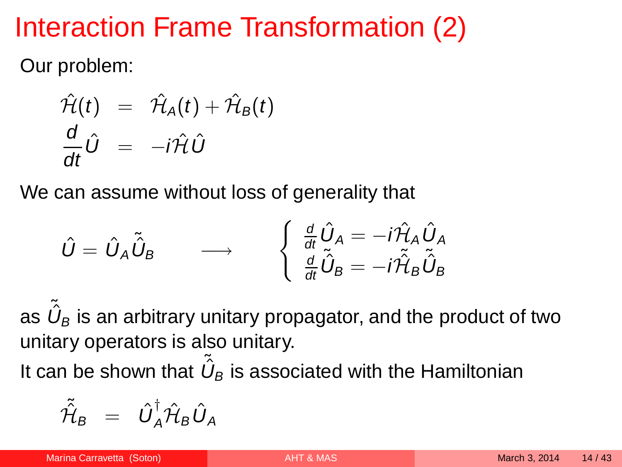# Interaction Frame Transformation (2)

Our problem:

$$
\hat{\mathcal{H}}(t) = \hat{\mathcal{H}}_A(t) + \hat{\mathcal{H}}_B(t) \n\frac{d}{dt}\hat{U} = -i\hat{\mathcal{H}}\hat{U}
$$

We can assume without loss of generality that

$$
\hat{U} = \hat{U}_A \tilde{\hat{U}}_B \longrightarrow \begin{cases} \frac{d}{dt} \hat{U}_A = -i \hat{\mathcal{H}}_A \hat{U}_A \\ \frac{d}{dt} \tilde{\hat{U}}_B = -i \hat{\hat{\mathcal{H}}}_B \tilde{\hat{U}}_B \end{cases}
$$

as  $\,\tilde{\mathcal{U}}_{\!B}$  is an arbitrary unitary propagator, and the product of two unitary operators is also unitary.

It can be shown that  $\,\tilde{\hat U}_B$  is associated with the Hamiltonian

$$
\tilde{\hat{\mathcal{H}}}_B = \hat{U}_A^{\dagger} \hat{\mathcal{H}}_B \hat{U}_A
$$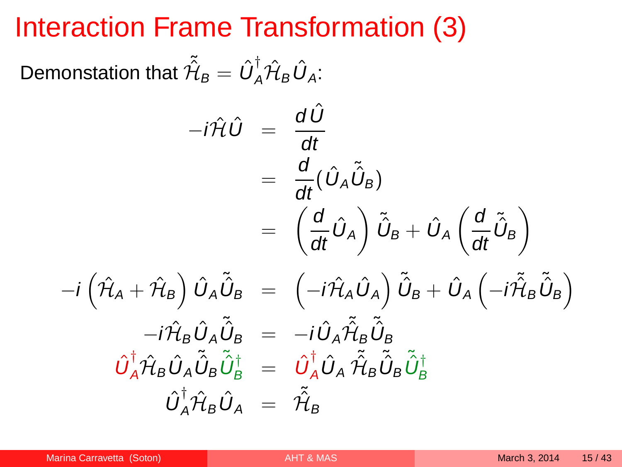#### Interaction Frame Transformation (3)

Demonstation that  $\tilde{\hat{\mathcal{H}}}_B = \hat{U}_A^{\dagger} \hat{\mathcal{H}}_B \hat{U}_A$ :

$$
-i\hat{\mathcal{H}}\hat{U} = \frac{d\hat{U}}{dt}
$$
  
\n
$$
= \frac{d}{dt}(\hat{U}_A\tilde{U}_B)
$$
  
\n
$$
= \left(\frac{d}{dt}\hat{U}_A\right)\tilde{U}_B + \hat{U}_A\left(\frac{d}{dt}\tilde{U}_B\right)
$$
  
\n
$$
-i\left(\hat{\mathcal{H}}_A + \hat{\mathcal{H}}_B\right)\hat{U}_A\tilde{U}_B = \left(-i\hat{\mathcal{H}}_A\hat{U}_A\right)\tilde{U}_B + \hat{U}_A\left(-i\hat{\mathcal{H}}_B\tilde{U}_B\right)
$$
  
\n
$$
-i\hat{\mathcal{H}}_B\hat{U}_A\tilde{U}_B = -i\hat{U}_A\tilde{\mathcal{H}}_B\tilde{U}_B
$$
  
\n
$$
\hat{U}_A^{\dagger}\hat{\mathcal{H}}_B\hat{U}_A\tilde{U}_B\tilde{U}_B^{\dagger} = \hat{U}_A^{\dagger}\hat{U}_A\tilde{\mathcal{H}}_B\tilde{U}_B\tilde{U}_B^{\dagger}
$$
  
\n
$$
\hat{U}_A^{\dagger}\hat{\mathcal{H}}_B\hat{U}_A = \tilde{\mathcal{H}}_B
$$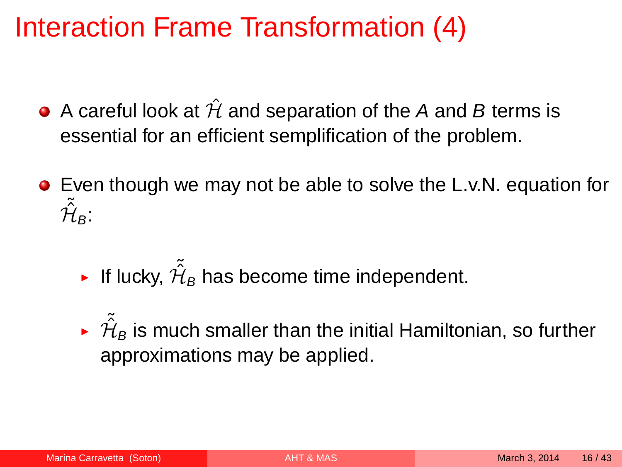# Interaction Frame Transformation (4)

- A careful look at  $\hat{\mathcal{H}}$  and separation of the A and B terms is essential for an efficient semplification of the problem.
- Even though we may not be able to solve the L.v.N. equation for  $\tilde{\mathcal{H}}_B$ :
	- ► If lucky,  $\tilde{\hat{\mathcal{H}}}_B$  has become time independent.
	- $\sim \tilde{\mathcal{H}}_B$  is much smaller than the initial Hamiltonian, so further approximations may be applied.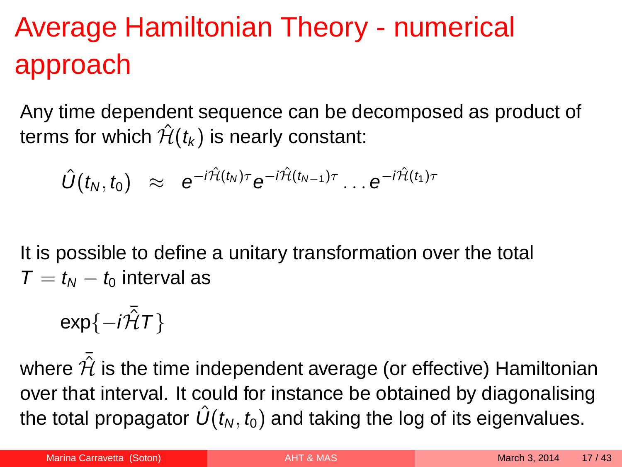# Average Hamiltonian Theory - numerical approach

Any time dependent sequence can be decomposed as product of terms for which  $\hat{H}(t_k)$  is nearly constant:

$$
\hat{U}(t_N,t_0) \approx e^{-i\hat{\mathcal{H}}(t_N)\tau}e^{-i\hat{\mathcal{H}}(t_{N-1})\tau}\ldots e^{-i\hat{\mathcal{H}}(t_1)\tau}
$$

It is possible to define a unitary transformation over the total  $T = t_M - t_0$  interval as

<span id="page-16-0"></span>
$$
\exp\{-i\bar{\hat{\mathcal{H}}}T\}
$$

where  $\hat{\mathcal{H}}$  is the time independent average (or effective) Hamiltonian over that interval. It could for instance be obtained by diagonalising the total propagator  $\hat{U}(t_{N}, t_{0})$  and taking the log of its eigenvalues.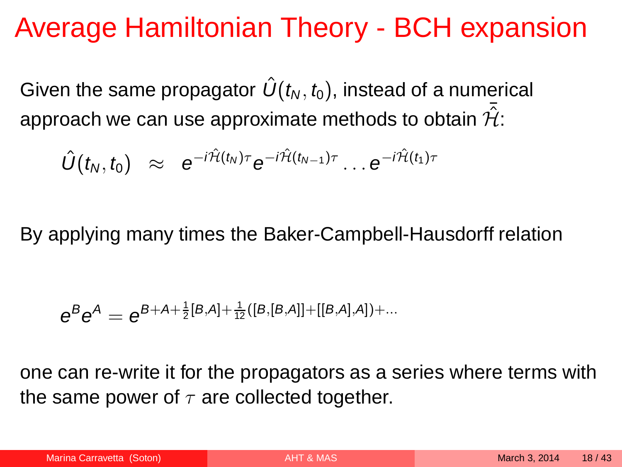#### Average Hamiltonian Theory - BCH expansion

Given the same propagator  $\hat{U}(t_N, t_0)$ , instead of a numerical approach we can use approximate methods to obtain  $\hat{\mathcal{H}}$ :

$$
\hat{U}(t_N,t_0) \approx e^{-i\hat{H}(t_N)\tau}e^{-i\hat{H}(t_{N-1})\tau}\dots e^{-i\hat{H}(t_1)\tau}
$$

By applying many times the Baker-Campbell-Hausdorff relation

$$
e^{B}e^{A} = e^{B+A+\frac{1}{2}[B,A]+\frac{1}{12}([B,[B,A]]+[[B,A],A])+...}
$$

one can re-write it for the propagators as a series where terms with the same power of  $\tau$  are collected together.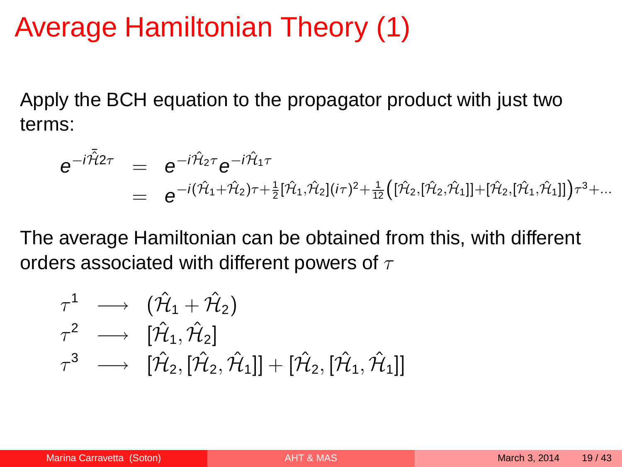#### Average Hamiltonian Theory (1)

Apply the BCH equation to the propagator product with just two terms:

$$
e^{-i\tilde{H}_{2}\tau} = e^{-i\hat{H}_{2}\tau}e^{-i\hat{H}_{1}\tau} = e^{-i(\hat{H}_{1}+\hat{H}_{2})\tau + \frac{1}{2}[\hat{H}_{1},\hat{H}_{2}](i\tau)^{2} + \frac{1}{12}([\hat{H}_{2},[\hat{H}_{2},\hat{H}_{1}]] + [\hat{H}_{2},[\hat{H}_{1},\hat{H}_{1}]]\tau^{3} + ...
$$

The average Hamiltonian can be obtained from this, with different orders associated with different powers of  $\tau$ 

$$
\begin{array}{lll} \tau^1 &\longrightarrow &(\hat{\mathcal{H}}_1+\hat{\mathcal{H}}_2)\\ \tau^2 &\longrightarrow & [\hat{\mathcal{H}}_1,\hat{\mathcal{H}}_2] \\ \tau^3 &\longrightarrow & [\hat{\mathcal{H}}_2,[\hat{\mathcal{H}}_2,\hat{\mathcal{H}}_1]]+[\hat{\mathcal{H}}_2,[\hat{\mathcal{H}}_1,\hat{\mathcal{H}}_1]] \end{array}
$$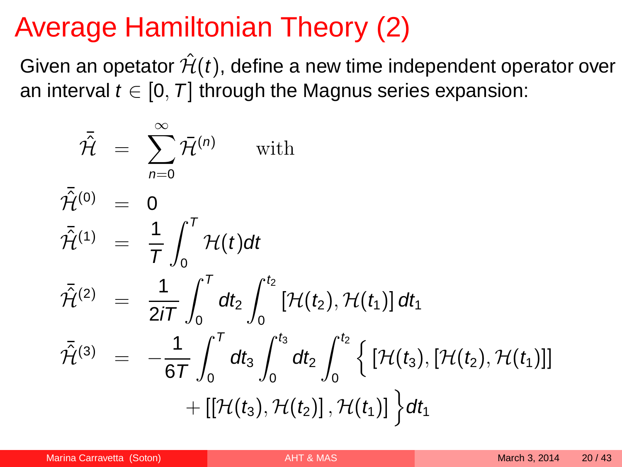## Average Hamiltonian Theory (2)

Given an opetator  $\hat{\mathcal{H}}(t)$ , define a new time independent operator over an interval  $t \in [0, T]$  through the Magnus series expansion:

$$
\begin{array}{rcl}\n\bar{\mathcal{H}} & = & \sum_{n=0}^{\infty} \bar{\mathcal{H}}^{(n)} & \text{with} \\
\bar{\mathcal{H}}^{(0)} & = & 0 \\
\bar{\mathcal{H}}^{(1)} & = & \frac{1}{T} \int_{0}^{T} \mathcal{H}(t) dt \\
\bar{\mathcal{H}}^{(2)} & = & \frac{1}{2iT} \int_{0}^{T} dt_{2} \int_{0}^{t_{2}} [\mathcal{H}(t_{2}), \mathcal{H}(t_{1})] dt_{1} \\
\bar{\mathcal{H}}^{(3)} & = & -\frac{1}{6T} \int_{0}^{T} dt_{3} \int_{0}^{t_{3}} dt_{2} \int_{0}^{t_{2}} \left\{ [\mathcal{H}(t_{3}), [\mathcal{H}(t_{2}), \mathcal{H}(t_{1})]] \right. \\
& & \left. + [[\mathcal{H}(t_{3}), \mathcal{H}(t_{2})], \mathcal{H}(t_{1})] \right\} dt_{1}\n\end{array}
$$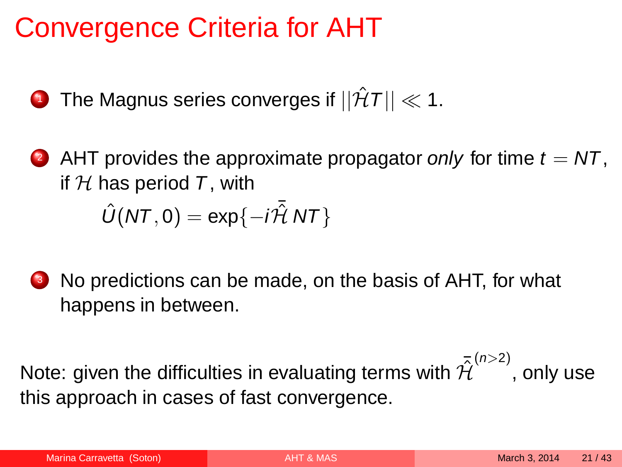## Convergence Criteria for AHT

- **1** The Magnus series converges if  $||\hat{H}T|| \ll 1$ .
- 2 AHT provides the approximate propagator only for time  $t = NT$ . if  $H$  has period T, with  $\hat{U}(NT, 0) = \exp\{-i\tilde{\mathcal{H}} NT\}$
- <sup>3</sup> No predictions can be made, on the basis of AHT, for what happens in between.

Note: given the difficulties in evaluating terms with  $\mathcal{\tilde{H}}^{(n>2)}$ , only use this approach in cases of fast convergence.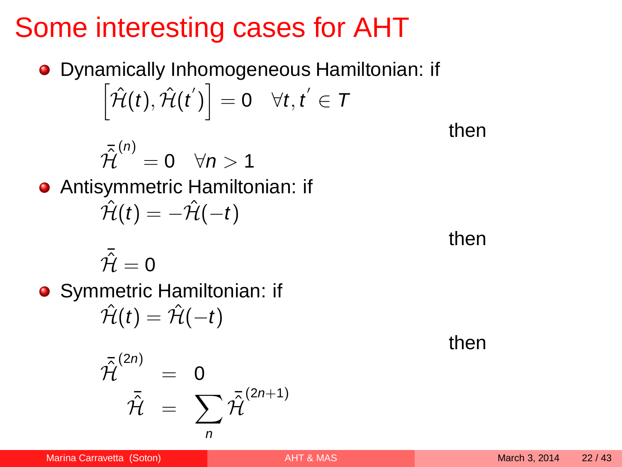# Some interesting cases for AHT

Dynamically Inhomogeneous Hamiltonian: if  $\left[ \hat{\mathcal{H}}(t), \hat{\mathcal{H}}(t^{'}) \right] = 0 \quad \forall t, t^{'} \in \mathcal{T}$ 

$$
\bar{\hat{\mathcal{H}}}^{(n)}=0 \quad \forall n>1
$$

Antisymmetric Hamiltonian: if  $\hat{\mathcal{H}}(t) = -\hat{\mathcal{H}}(-t)$ 

$$
\bar{\hat{\mathcal{H}}}=0
$$

**•** Symmetric Hamiltonian: if  $\hat{\mathcal{H}}(t) = \hat{\mathcal{H}}(-t)$ 

$$
\bar{\hat{\mathcal{H}}}^{(2n)} = 0
$$

$$
\bar{\hat{\mathcal{H}}} = \sum_{n} \bar{\hat{\mathcal{H}}}^{(2n+1)}
$$

then

then

then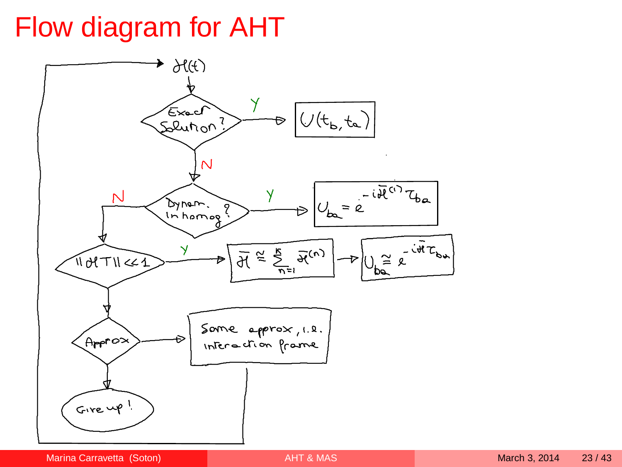# Flow diagram for AHT

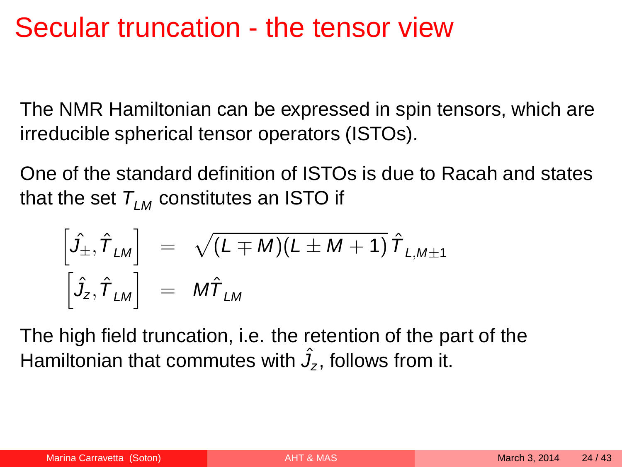#### Secular truncation - the tensor view

The NMR Hamiltonian can be expressed in spin tensors, which are irreducible spherical tensor operators (ISTOs).

One of the standard definition of ISTOs is due to Racah and states that the set  $T_{LM}$  constitutes an ISTO if

<span id="page-23-0"></span>
$$
\begin{bmatrix}\hat{J}_{\pm}, \hat{T}_{LM}\end{bmatrix} = \sqrt{(L \mp M)(L \pm M + 1)} \hat{T}_{L,M \pm 1}
$$

$$
\begin{bmatrix}\hat{J}_{Z}, \hat{T}_{LM}\end{bmatrix} = M \hat{T}_{LM}
$$

The high field truncation, i.e. the retention of the part of the Hamiltonian that commutes with  $\hat{J}_z$ , follows from it.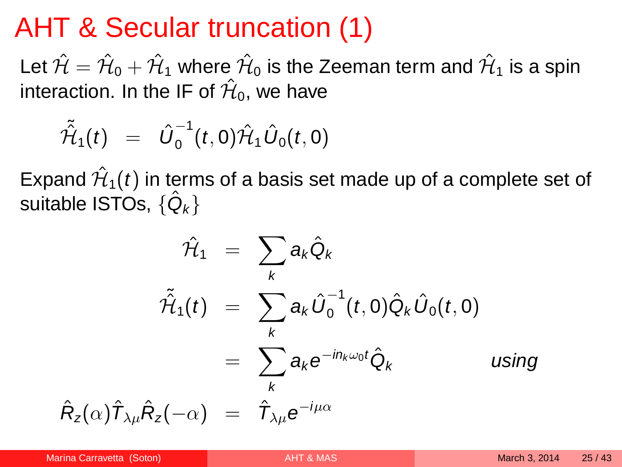#### AHT & Secular truncation (1)

Let  $\hat{\mathcal{H}}=\hat{\mathcal{H}}_0+\hat{\mathcal{H}}_1$  where  $\hat{\mathcal{H}}_0$  is the Zeeman term and  $\hat{\mathcal{H}}_1$  is a spin interaction. In the IF of  $\hat{\mathcal{H}}_0$ , we have

$$
\tilde{\hat{\mathcal{H}}}_1(t) = \hat{U}_0^{-1}(t,0)\hat{\mathcal{H}}_1 \hat{U}_0(t,0)
$$

Expand  $\hat{\mathcal{H}}_1(t)$  in terms of a basis set made up of a complete set of suitable ISTOs,  $\{\hat{\mathsf{Q}}_k\}$ 

$$
\hat{\mathcal{H}}_1 = \sum_{k} a_k \hat{Q}_k
$$
\n
$$
\tilde{\hat{\mathcal{H}}}_1(t) = \sum_{k} a_k \hat{U}_0^{-1}(t, 0) \hat{Q}_k \hat{U}_0(t, 0)
$$
\n
$$
= \sum_{k} a_k e^{-i n_k \omega_0 t} \hat{Q}_k \qquad \text{using}
$$
\n
$$
\hat{R}_z(\alpha) \hat{T}_{\lambda \mu} \hat{R}_z(-\alpha) = \hat{T}_{\lambda \mu} e^{-i \mu \alpha}
$$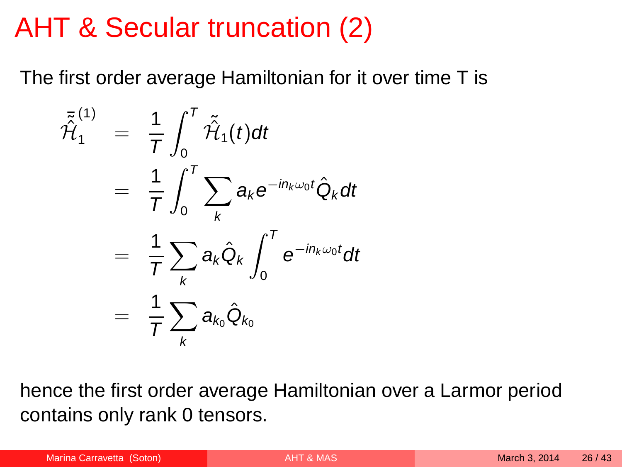#### AHT & Secular truncation (2)

The first order average Hamiltonian for it over time T is

$$
\bar{\tilde{\mathcal{H}}}_{1}^{(1)} = \frac{1}{T} \int_{0}^{T} \tilde{\tilde{\mathcal{H}}}_{1}(t) dt
$$
\n
$$
= \frac{1}{T} \int_{0}^{T} \sum_{k} a_{k} e^{-in_{k}\omega_{0}t} \hat{Q}_{k} dt
$$
\n
$$
= \frac{1}{T} \sum_{k} a_{k} \hat{Q}_{k} \int_{0}^{T} e^{-in_{k}\omega_{0}t} dt
$$
\n
$$
= \frac{1}{T} \sum_{k} a_{k_{0}} \hat{Q}_{k_{0}}
$$

hence the first order average Hamiltonian over a Larmor period contains only rank 0 tensors.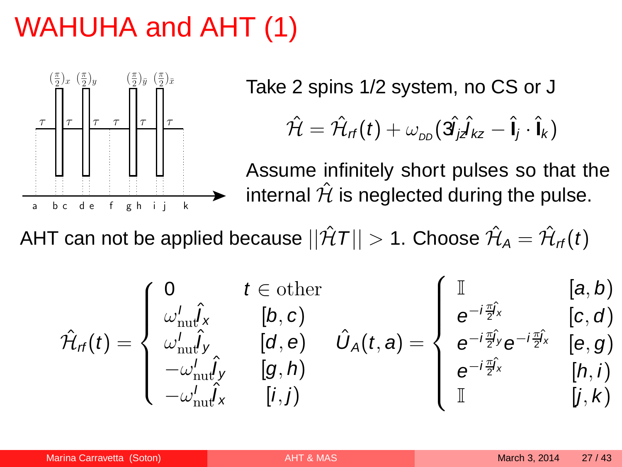# WAHUHA and AHT (1)



Take 2 spins 1/2 system, no CS or J

$$
\hat{\mathcal{H}} = \hat{\mathcal{H}}_{rf}(t) + \omega_{DD}(\hat{\mathbf{3}j_{z}\hat{\mathbf{1}}kz} - \hat{\mathbf{I}}j \cdot \hat{\mathbf{I}}k)
$$

<span id="page-26-0"></span>Assume infinitely short pulses so that the internal  $\hat{\mathcal{H}}$  is neglected during the pulse.

AHT can not be applied because  $||\hat{\mathcal{H}}T||>$  1. Choose  $\hat{\mathcal{H}}_{\mathcal{A}}=\hat{\mathcal{H}}_{\mathcal{\mathcal{H}}}(t)$ 

$$
\hat{\mathcal{H}}_{\text{rf}}(t) = \begin{cases}\n0 & t \in \text{other} \\
\omega_{\text{nu}}^{\prime} \hat{J}_{x} & [b, c) \\
\omega_{\text{nu}}^{\prime} \hat{J}_{y} & [d, e) \\
-\omega_{\text{nu}}^{\prime} \hat{J}_{y} & [g, h) \\
-\omega_{\text{nu}}^{\prime} \hat{J}_{x} & [i, j)\n\end{cases} \quad \hat{U}_{A}(t, a) = \begin{cases}\n\mathbb{I} & [a, b) \\
e^{-i\frac{\pi}{2}i_{x}} & [c, d) \\
e^{-i\frac{\pi}{2}i_{y}}e^{-i\frac{\pi}{2}i_{x}} & [e, g) \\
e^{-i\frac{\pi}{2}i_{x}} & [h, i) \\
\mathbb{I} & [j, k)\n\end{cases}
$$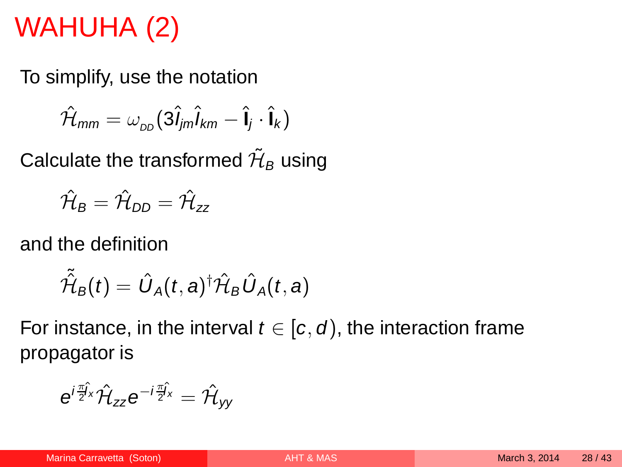# WAHUHA (2)

To simplify, use the notation

$$
\hat{\mathcal{H}}_{mm} = \omega_{\scriptscriptstyle DD} (3\hat{\mathbf{l}}_{jm}\hat{\mathbf{l}}_{km} - \hat{\mathbf{l}}_{j} \cdot \hat{\mathbf{l}}_{k})
$$

Calculate the transformed  $\tilde{\mathcal{H}}_{B}$  using

$$
\hat{\mathcal{H}}_{\text{B}} = \hat{\mathcal{H}}_{\text{DD}} = \hat{\mathcal{H}}_{zz}
$$

and the definition

$$
\tilde{\hat{\mathcal{H}}}_B(t)=\hat{U}_A(t,a)^\dagger\hat{\mathcal{H}}_B\hat{U}_A(t,a)
$$

For instance, in the interval  $t \in [c, d)$ , the interaction frame propagator is

$$
e^{i\frac{\pi}{2}\hat{J}_x}\hat{\mathcal{H}}_{zz}e^{-i\frac{\pi}{2}\hat{J}_x}=\hat{\mathcal{H}}_{yy}
$$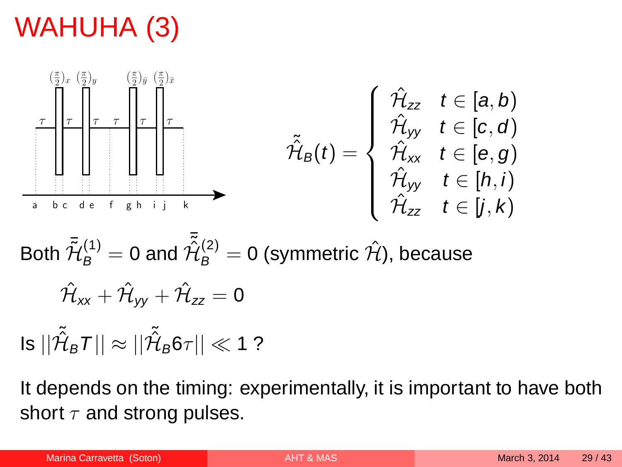# WAHUHA (3)



Both 
$$
\tilde{\tilde{\mathcal{H}}}_{B}^{(1)} = 0
$$
 and  $\tilde{\tilde{\mathcal{H}}}_{B}^{(2)} = 0$  (symmetric  $\hat{\mathcal{H}}$ ), because  
\n
$$
\hat{\mathcal{H}}_{xx} + \hat{\mathcal{H}}_{yy} + \hat{\mathcal{H}}_{zz} = 0
$$

Is  $||\tilde{\hat{\mathcal{H}}}_B$ 7 $||\approx ||\tilde{\hat{\mathcal{H}}}_B$ 6 $\tau||\ll$  1 ?

It depends on the timing: experimentally, it is important to have both short  $\tau$  and strong pulses.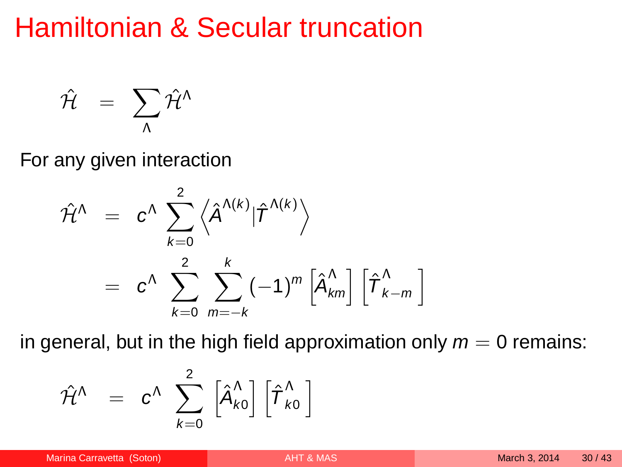#### Hamiltonian & Secular truncation

$$
\hat{\cal H} \;\; = \;\; \sum_{\Lambda} \hat{\cal H}^{\Lambda}
$$

For any given interaction

$$
\hat{\mathcal{H}}^{\Lambda} = c^{\Lambda} \sum_{k=0}^{2} \left\langle \hat{A}^{\Lambda(k)} | \hat{\mathcal{T}}^{\Lambda(k)} \right\rangle
$$

$$
= c^{\Lambda} \sum_{k=0}^{2} \sum_{m=-k}^{k} (-1)^{m} \left[ \hat{A}_{km}^{\Lambda} \right] \left[ \hat{\mathcal{T}}_{k-m}^{\Lambda} \right]
$$

in general, but in the high field approximation only  $m = 0$  remains:

<span id="page-29-0"></span>
$$
\hat{\mathcal{H}}^{\Lambda} \quad = \quad c^{\Lambda} \; \; \sum_{k=0}^{2} \; \left[ \hat{A}^{\Lambda}_{k0} \right] \left[ \hat{\boldsymbol{T}}^{\Lambda}_{k0} \; \right]
$$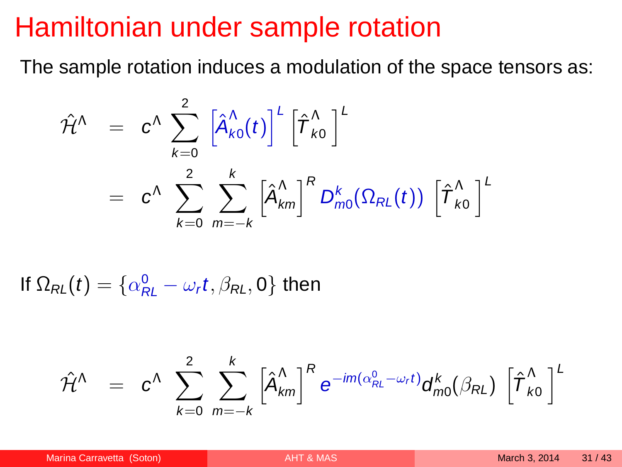#### Hamiltonian under sample rotation

The sample rotation induces a modulation of the space tensors as:

$$
\hat{\mathcal{H}}^{\Lambda} = c^{\Lambda} \sum_{k=0}^{2} \left[ \hat{A}_{k0}^{\Lambda}(t) \right]^{\mathcal{L}} \left[ \hat{\mathcal{T}}_{k0}^{\Lambda} \right]^{\mathcal{L}}
$$
\n
$$
= c^{\Lambda} \sum_{k=0}^{2} \sum_{m=-k}^{k} \left[ \hat{A}_{km}^{\Lambda} \right]^{\mathcal{R}} D_{m0}^{k}(\Omega_{RL}(t)) \left[ \hat{\mathcal{T}}_{k0}^{\Lambda} \right]^{\mathcal{L}}
$$

If  $\Omega_{\mathcal{R}L}(t) = \{ \alpha_{\mathcal{R}L}^0 - \omega_{r}t, \beta_{\mathcal{R}L}, 0 \}$  then

$$
\hat{\mathcal{H}}^{\Lambda} \;\; = \;\; c^{\Lambda} \; \sum_{k=0}^2 \; \sum_{m=-k}^k \left[ \hat{\textbf{A}}^{\Lambda}_{km} \right]^R e^{-im(\alpha^0_{RL}-\omega_r t)} \textbf{d}^k_{m0}(\beta_{RL}) \; \left[ \hat{\boldsymbol{T}}^{\Lambda}_{k0} \right]^L
$$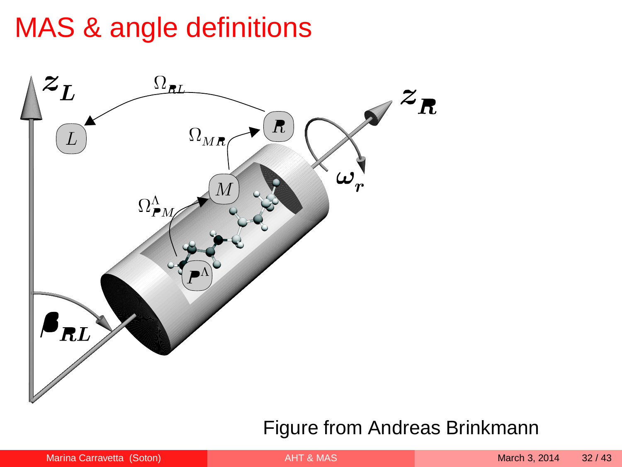## MAS & angle definitions



#### Figure from Andreas Brinkmann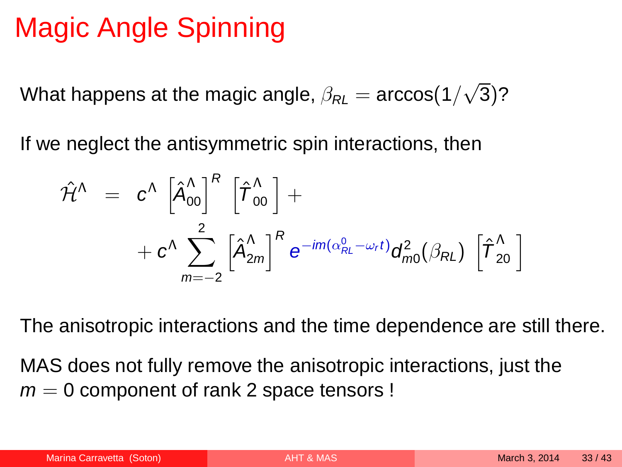# Magic Angle Spinning

What happens at the magic angle,  $\beta_{\mathsf{RL}}=\arccos(1/\sqrt{3})$ ?

If we neglect the antisymmetric spin interactions, then

$$
\begin{array}{lll} \hat{\mathcal{H}}^{\Lambda} & = & \displaystyle c^{\Lambda} \, \left[ \hat{\mathcal{A}}_{00}^{\Lambda} \right]^{R} \, \left[ \hat{\boldsymbol{\varUpsilon}}_{00}^{\Lambda} \, \right] + & \\ & & \displaystyle + \, c^{\Lambda} \sum_{m=-2}^{2} \left[ \hat{\mathcal{A}}_{2m}^{\Lambda} \right]^{R} \, e^{-im(\alpha_{\mathcal{R}L}^{0} - \omega_{\mathit{r}} t)} \mathsf{d}_{m0}^{2} (\beta_{\mathcal{R}L}) \, \left[ \hat{\boldsymbol{\varUpsilon}}_{20}^{\Lambda} \, \right] \end{array}
$$

The anisotropic interactions and the time dependence are still there.

MAS does not fully remove the anisotropic interactions, just the  $m = 0$  component of rank 2 space tensors !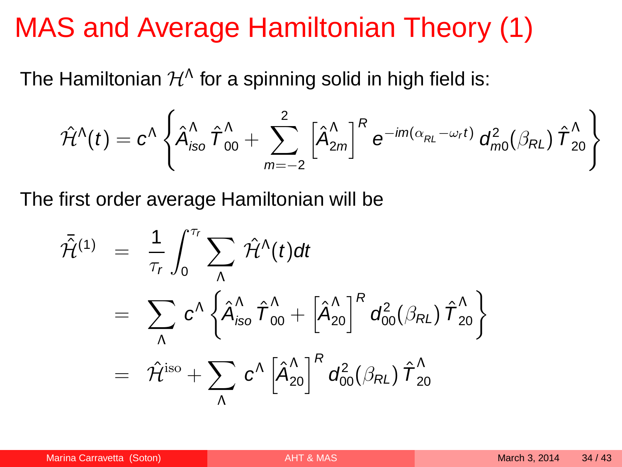#### MAS and Average Hamiltonian Theory (1)

The Hamiltonian  $\mathcal{H}^{\Lambda}$  for a spinning solid in high field is:

$$
\hat{\mathcal{H}}^{\Lambda}(t)=c^{\Lambda}\left\{\hat{\bm{\mathcal{A}}}_{\mathsf{iso}}^{\Lambda}\ \hat{\bm{\mathcal{T}}}_{00}^{\Lambda}+\sum_{m=-2}^{2}\left[\hat{\bm{\mathcal{A}}}_{2m}^{\Lambda}\right]^{R}e^{-\textit{i}m(\alpha_{\mathsf{RL}}-\omega_{\mathsf{r}}t)}\ \bm{\mathcal{d}}_{m0}^{2}(\beta_{\mathsf{RL}})\ \hat{\bm{\mathcal{T}}}_{20}^{\Lambda}\right\}
$$

The first order average Hamiltonian will be

<span id="page-33-0"></span>
$$
\begin{array}{lll} \bar{\mathcal{H}}^{(1)} & = & \displaystyle \frac{1}{\tau_r} \int_0^{\tau_r} \sum_\Lambda \hat{\mathcal{H}}^\Lambda(t) dt \\ \\ & = & \displaystyle \sum_\Lambda c^\Lambda \left\{ \hat{A}_{\text{iso}}^\Lambda \, \hat{\boldsymbol{T}}_{00}^\Lambda + \left[ \hat{A}_{20}^\Lambda \right]^R d_{00}^2 (\beta_{RL}) \, \hat{\boldsymbol{T}}_{20}^\Lambda \right\} \\ \\ & = & \displaystyle \hat{\mathcal{H}}^{\text{iso}} + \sum_\Lambda c^\Lambda \left[ \hat{A}_{20}^\Lambda \right]^R d_{00}^2 (\beta_{RL}) \, \hat{\boldsymbol{T}}_{20}^\Lambda \end{array}
$$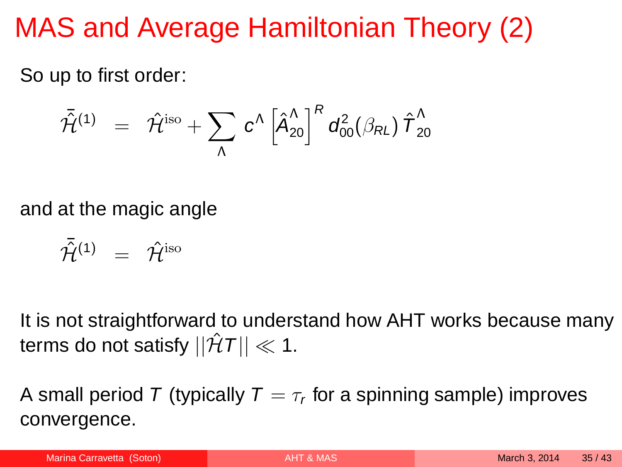# MAS and Average Hamiltonian Theory (2)

So up to first order:

$$
\bar{\hat{\mathcal{H}}}^{(1)} \;\; = \;\; \hat{\mathcal{H}}^{\rm iso} + \sum_{\Lambda} \; c^{\Lambda} \left[ \hat{A}_{20}^{\Lambda} \right]^R \, d^2_{00} (\beta_{RL}) \; \hat{\mathcal{T}}^{\Lambda}_{20}
$$

and at the magic angle

$$
\bar{\mathcal{H}}^{(1)} = \hat{\mathcal{H}}^{\text{iso}}
$$

It is not straightforward to understand how AHT works because many terms do not satisfy  $||\hat{\mathcal{H}}T|| \ll 1$ .

A small period  $\mathcal T$  (typically  $\mathcal T=\tau_r$  for a spinning sample) improves convergence.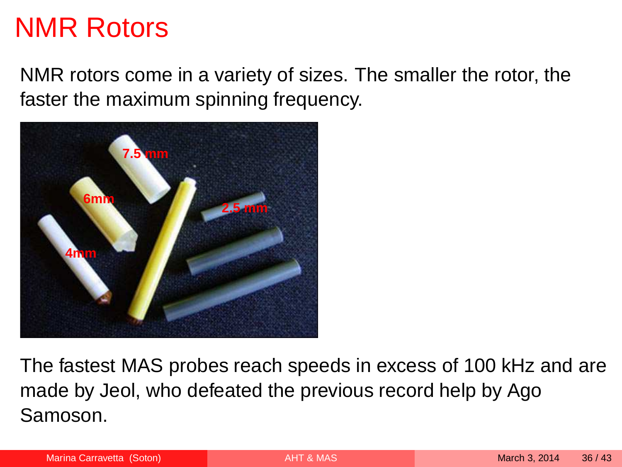#### NMR Rotors

NMR rotors come in a variety of sizes. The smaller the rotor, the faster the maximum spinning frequency.



The fastest MAS probes reach speeds in excess of 100 kHz and are made by Jeol, who defeated the previous record help by Ago Samoson.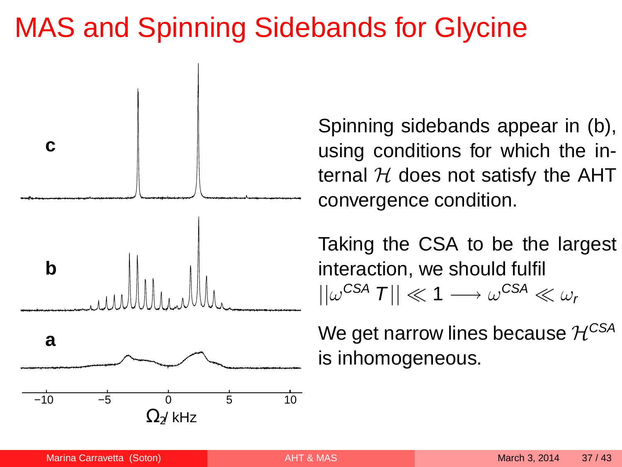## MAS and Spinning Sidebands for Glycine



Spinning sidebands appear in (b), using conditions for which the internal  $H$  does not satisfy the AHT convergence condition.

Taking the CSA to be the largest interaction, we should fulfil  $||\omega^{\text{CSA}}|T|| \ll 1 \longrightarrow \omega^{\text{CSA}} \ll \omega_r$ 

We get narrow lines because  $\mathcal{H}^{\text{CSA}}$ is inhomogeneous.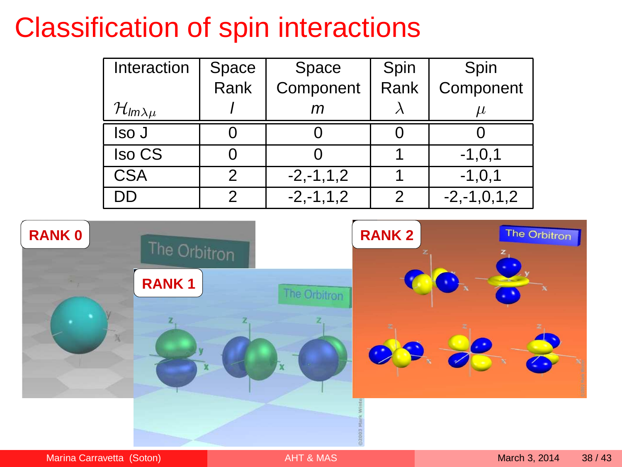## Classification of spin interactions

| Interaction                  | Space | Space          | Spin | Spin              |
|------------------------------|-------|----------------|------|-------------------|
|                              | Rank  | Component      | Rank | Component         |
| $\mathcal{H}_{lm\lambda\mu}$ |       |                |      |                   |
| lso J                        |       |                |      |                   |
| Iso CS                       |       |                |      | $-1, 0, 1$        |
| CSA                          | 2     | $-2, -1, 1, 2$ |      | $-1, 0, 1$        |
| חר                           | っ     | $-2, -1, 1, 2$ | 2    | $-2, -1, 0, 1, 2$ |

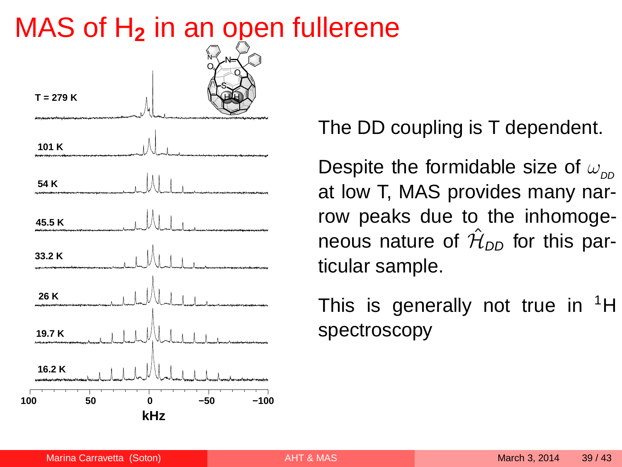#### MAS of H**<sup>2</sup>** in an open fullerene



The DD coupling is T dependent.

Despite the formidable size of  $\omega_{\text{op}}$ at low T, MAS provides many narrow peaks due to the inhomogeneous nature of  $\hat{\mathcal{H}}_{\mathit{DD}}$  for this particular sample.

This is generally not true in  ${}^{1}H$ spectroscopy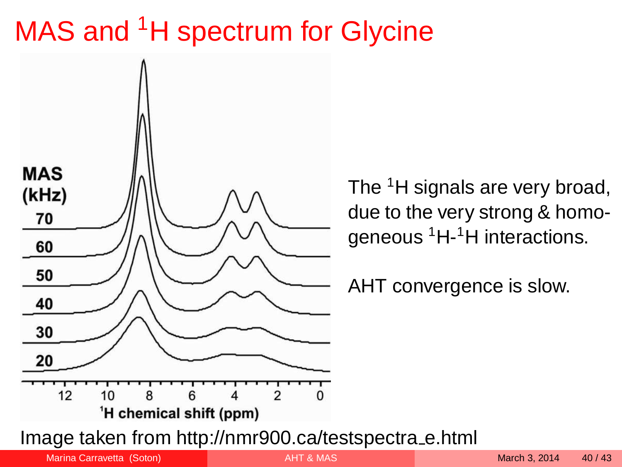# MAS and <sup>1</sup>H spectrum for Glycine



The <sup>1</sup>H signals are very broad, due to the very strong & homogeneous <sup>1</sup>H-<sup>1</sup>H interactions.

AHT convergence is slow.

Image taken from http://nmr900.ca/testspectra e.html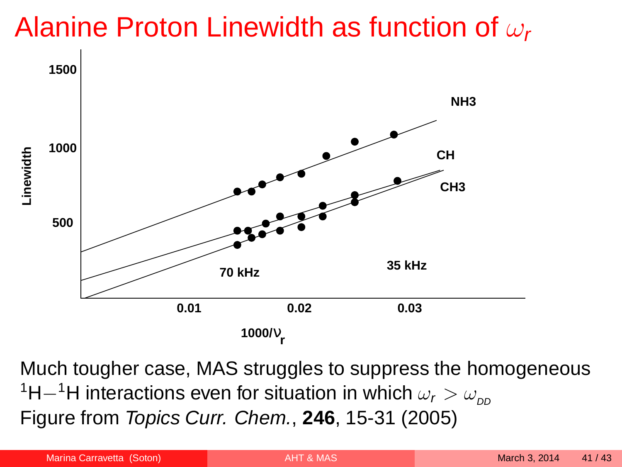## Alanine Proton Linewidth as function of  $\omega_r$



Much tougher case, MAS struggles to suppress the homogeneous <sup>1</sup>H−<sup>1</sup>H interactions even for situation in which  $\omega_r > \omega_{\text{op}}$ Figure from Topics Curr. Chem., **246**, 15-31 (2005)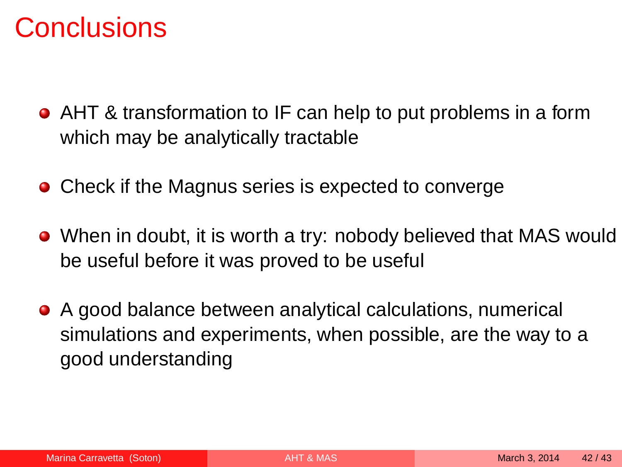#### **Conclusions**

- AHT & transformation to IF can help to put problems in a form which may be analytically tractable
- Check if the Magnus series is expected to converge
- When in doubt, it is worth a try: nobody believed that MAS would be useful before it was proved to be useful
- A good balance between analytical calculations, numerical simulations and experiments, when possible, are the way to a good understanding